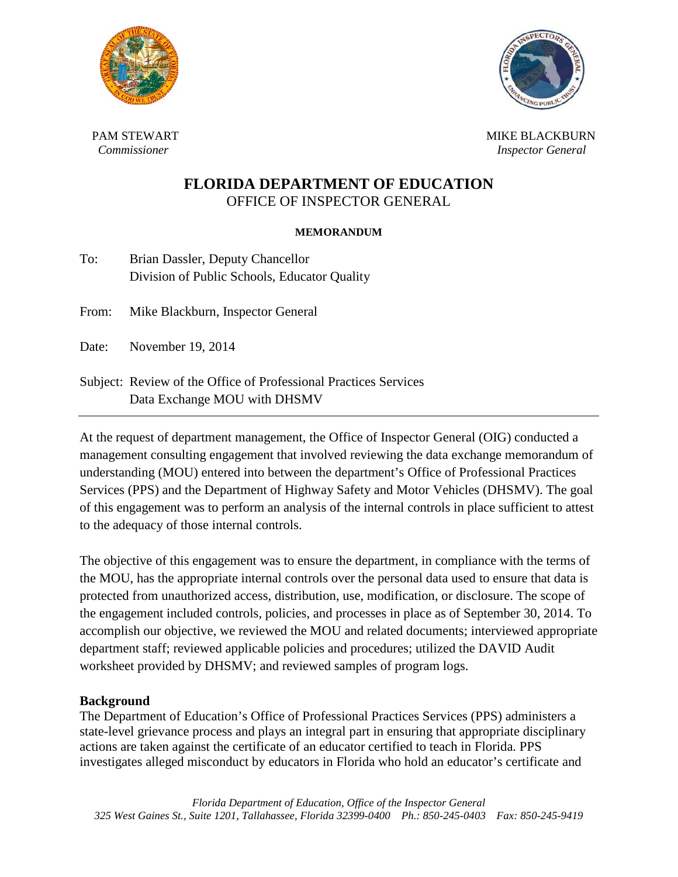



 PAM STEWART  *Commissioner* 

 MIKE BLACKBURN  *Inspector General* 

# **FLORIDA DEPARTMENT OF EDUCATION** OFFICE OF INSPECTOR GENERAL

### **MEMORANDUM**

| To: | Brian Dassler, Deputy Chancellor             |
|-----|----------------------------------------------|
|     | Division of Public Schools, Educator Quality |

From: Mike Blackburn, Inspector General

Date: November 19, 2014

Subject: Review of the Office of Professional Practices Services Data Exchange MOU with DHSMV

At the request of department management, the Office of Inspector General (OIG) conducted a management consulting engagement that involved reviewing the data exchange memorandum of understanding (MOU) entered into between the department's Office of Professional Practices Services (PPS) and the Department of Highway Safety and Motor Vehicles (DHSMV). The goal of this engagement was to perform an analysis of the internal controls in place sufficient to attest to the adequacy of those internal controls.

The objective of this engagement was to ensure the department, in compliance with the terms of the MOU, has the appropriate internal controls over the personal data used to ensure that data is protected from unauthorized access, distribution, use, modification, or disclosure. The scope of the engagement included controls, policies, and processes in place as of September 30, 2014. To accomplish our objective, we reviewed the MOU and related documents; interviewed appropriate department staff; reviewed applicable policies and procedures; utilized the DAVID Audit worksheet provided by DHSMV; and reviewed samples of program logs.

#### **Background**

The Department of Education's Office of Professional Practices Services (PPS) administers a state-level grievance process and plays an integral part in ensuring that appropriate disciplinary actions are taken against the certificate of an educator certified to teach in Florida. PPS investigates alleged misconduct by educators in Florida who hold an educator's certificate and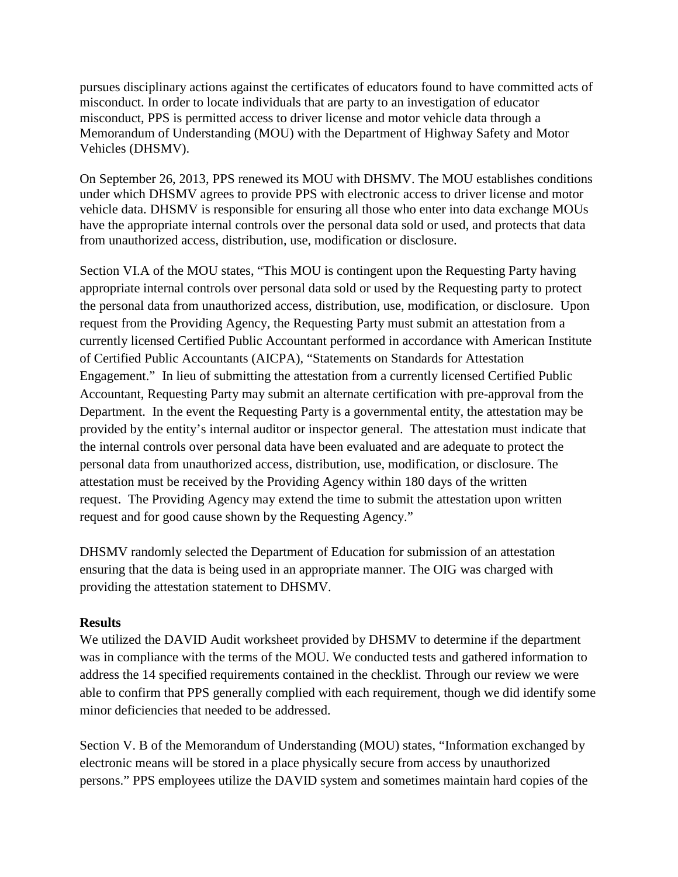pursues disciplinary actions against the certificates of educators found to have committed acts of misconduct. In order to locate individuals that are party to an investigation of educator misconduct, PPS is permitted access to driver license and motor vehicle data through a Memorandum of Understanding (MOU) with the Department of Highway Safety and Motor Vehicles (DHSMV).

On September 26, 2013, PPS renewed its MOU with DHSMV. The MOU establishes conditions under which DHSMV agrees to provide PPS with electronic access to driver license and motor vehicle data. DHSMV is responsible for ensuring all those who enter into data exchange MOUs have the appropriate internal controls over the personal data sold or used, and protects that data from unauthorized access, distribution, use, modification or disclosure.

Section VI.A of the MOU states, "This MOU is contingent upon the Requesting Party having appropriate internal controls over personal data sold or used by the Requesting party to protect the personal data from unauthorized access, distribution, use, modification, or disclosure. Upon request from the Providing Agency, the Requesting Party must submit an attestation from a currently licensed Certified Public Accountant performed in accordance with American Institute of Certified Public Accountants (AICPA), "Statements on Standards for Attestation Engagement." In lieu of submitting the attestation from a currently licensed Certified Public Accountant, Requesting Party may submit an alternate certification with pre-approval from the Department. In the event the Requesting Party is a governmental entity, the attestation may be provided by the entity's internal auditor or inspector general. The attestation must indicate that the internal controls over personal data have been evaluated and are adequate to protect the personal data from unauthorized access, distribution, use, modification, or disclosure. The attestation must be received by the Providing Agency within 180 days of the written request. The Providing Agency may extend the time to submit the attestation upon written request and for good cause shown by the Requesting Agency."

DHSMV randomly selected the Department of Education for submission of an attestation ensuring that the data is being used in an appropriate manner. The OIG was charged with providing the attestation statement to DHSMV.

## **Results**

We utilized the DAVID Audit worksheet provided by DHSMV to determine if the department was in compliance with the terms of the MOU. We conducted tests and gathered information to address the 14 specified requirements contained in the checklist. Through our review we were able to confirm that PPS generally complied with each requirement, though we did identify some minor deficiencies that needed to be addressed.

Section V. B of the Memorandum of Understanding (MOU) states, "Information exchanged by electronic means will be stored in a place physically secure from access by unauthorized persons." PPS employees utilize the DAVID system and sometimes maintain hard copies of the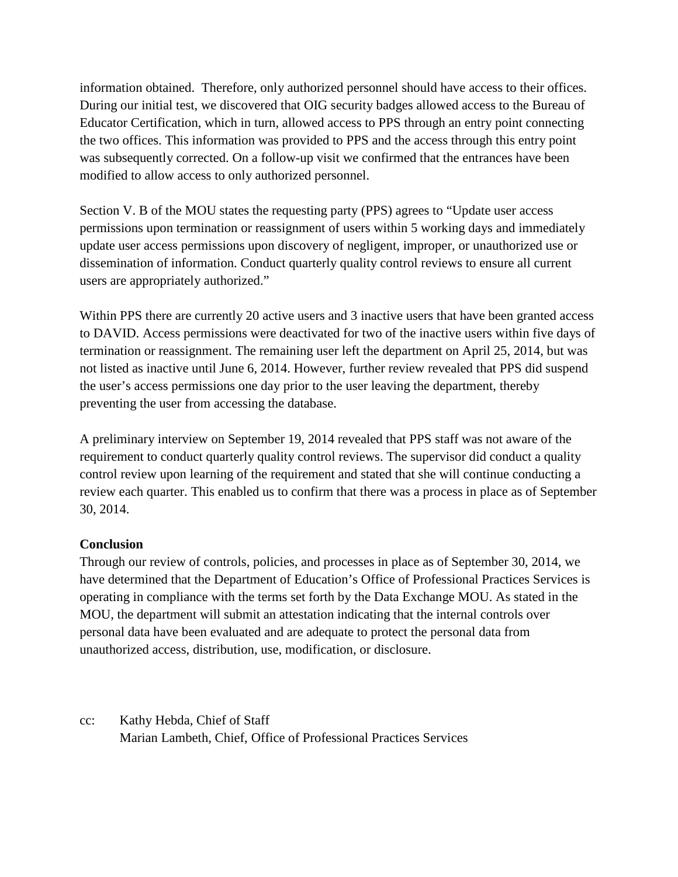information obtained. Therefore, only authorized personnel should have access to their offices. During our initial test, we discovered that OIG security badges allowed access to the Bureau of Educator Certification, which in turn, allowed access to PPS through an entry point connecting the two offices. This information was provided to PPS and the access through this entry point was subsequently corrected. On a follow-up visit we confirmed that the entrances have been modified to allow access to only authorized personnel.

Section V. B of the MOU states the requesting party (PPS) agrees to "Update user access permissions upon termination or reassignment of users within 5 working days and immediately update user access permissions upon discovery of negligent, improper, or unauthorized use or dissemination of information. Conduct quarterly quality control reviews to ensure all current users are appropriately authorized."

Within PPS there are currently 20 active users and 3 inactive users that have been granted access to DAVID. Access permissions were deactivated for two of the inactive users within five days of termination or reassignment. The remaining user left the department on April 25, 2014, but was not listed as inactive until June 6, 2014. However, further review revealed that PPS did suspend the user's access permissions one day prior to the user leaving the department, thereby preventing the user from accessing the database.

A preliminary interview on September 19, 2014 revealed that PPS staff was not aware of the requirement to conduct quarterly quality control reviews. The supervisor did conduct a quality control review upon learning of the requirement and stated that she will continue conducting a review each quarter. This enabled us to confirm that there was a process in place as of September 30, 2014.

## **Conclusion**

Through our review of controls, policies, and processes in place as of September 30, 2014, we have determined that the Department of Education's Office of Professional Practices Services is operating in compliance with the terms set forth by the Data Exchange MOU. As stated in the MOU, the department will submit an attestation indicating that the internal controls over personal data have been evaluated and are adequate to protect the personal data from unauthorized access, distribution, use, modification, or disclosure.

cc: Kathy Hebda, Chief of Staff Marian Lambeth, Chief, Office of Professional Practices Services